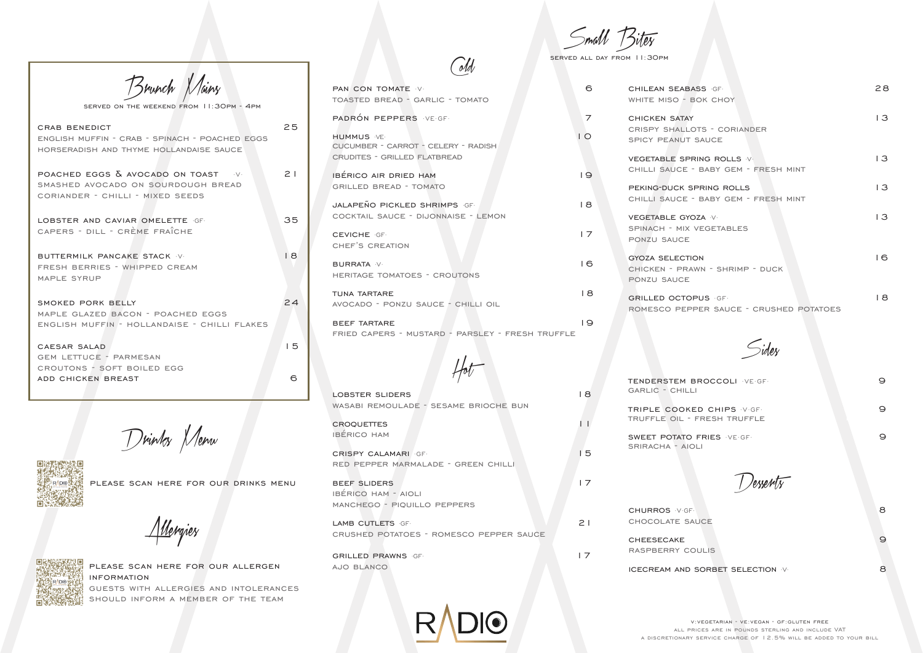| <b>CRAB BENEDICT</b><br><b>ENGLISH MUFFIN - CRAB - SPINACH - POACHED EGGS</b><br>HORSERADISH AND THYME HOLLANDAISE SAUCE      | 25       |
|-------------------------------------------------------------------------------------------------------------------------------|----------|
| POACHED EGGS $\overline{\Delta}$ AVOCADO ON TOAST V<br>SMASHED AVOCADO ON SOURDOUGH BREAD<br>CORIANDER - CHILLI - MIXED SEEDS | $\geq$ 1 |
| LOBSTER AND CAVIAR OMELETTE GF<br>CAPERS - DILL - CRÈME FRAÎCHE                                                               | 35       |
| BUTTERMILK PANCAKE STACK V<br>FRESH BERRIES - WHIPPED CREAM<br>MAPLE SYRUP                                                    | 18       |
| SMOKED PORK BELLY<br>MAPLE GLAZED BACON - POACHED EGGS<br>ENGLISH MUFFIN - HOLLANDAISE - CHILLI FLAKES                        | 24       |
| CAESAR SALAD<br><b>GEM LETTUCE - PARMESAN</b><br>CROUTONS - SOFT BOILED EGG                                                   | 15       |
| ADD CHICKEN BREAST                                                                                                            | ട        |

Brunch Mains

served on the weekend from 11:30pm - 4pm

beef tartare 19 fried capers - mustard - parsley - fresh truffle

please scan here for our allergen information guests with allergies and intolerances should inform a member of the team

Small Bites

served all day from 11:30pm

**CHURROS V·GF·** 8 chocolate sauce CHEESECAKE 9 raspberry coulis

- 
- 

TENDERSTEM BROCCOLI ·VE·GF· 9 garlic - chilli TRIPLE COOKED CHIPS V·GF· 9 truffle oil - fresh truffle sweet potato fries ·VE·GF· 9 sriracha - aioli

| PAN CON TOMATE V<br>TOASTED BREAD - GARLIC - TOMATO                             | 6              | <b>CHILEAN SEABASS GF</b><br>WHITE MISO - BOK CHOY                               | 28             |
|---------------------------------------------------------------------------------|----------------|----------------------------------------------------------------------------------|----------------|
| PADRÓN PEPPERS VEGE<br><b>HUMMUS</b> VF.<br>CUCUMBER - CARROT - CELERY - RADISH | 7<br>$\circ$   | <b>CHICKEN SATAY</b><br><b>CRISPY SHALLOTS - CORIANDER</b><br>SPICY PEANUT SAUCE | $\overline{3}$ |
| <b>CRUDITES - GRILLED FLATBREAD</b><br><b>IBÉRICO AIR DRIED HAM</b>             | 9              | <b>VEGETABLE SPRING ROLLS V.</b><br>CHILLI SAUCE - BABY GEM - FRESH MINT         | $\overline{3}$ |
| <b>GRILLED BREAD - TOMATO</b><br><b>JALAPEÑO PICKLED SHRIMPS GF.</b>            | 18             | PEKING-DUCK SPRING ROLLS<br>CHILLI SAUCE - BABY GEM - FRESH MINT                 | 3              |
| COCKTAIL SAUCE - DIJONNAISE - LEMON<br><b>CEVICHE GF.</b>                       | $\overline{7}$ | VEGETABLE GYOZA V<br>SPINACH - MIX VEGETABLES<br><b>PONZU SAUCE</b>              | $\overline{3}$ |
| CHEF'S CREATION<br><b>BURRATA</b> V<br><b>HERITAGE TOMATOES - CROUTONS</b>      | 16             | <b>GYOZA SELECTION</b><br>CHICKEN - PRAWN - SHRIMP - DUCK<br>PONZU SAUCE         | 6              |
| TUNA TARTARE<br>AVOCADO - PONZU SAUCE - CHILLI OIL                              | 18             | <b>GRILLED OCTOPUS GF.</b><br>ROMESCO PEPPER SAUCE - CRUSHED POTATOES            | 8              |

Cold

Hot

|                                      | <b>LOBSTER SLIDERS</b>                  | 8              | GARLIC - CHILLI                                      |
|--------------------------------------|-----------------------------------------|----------------|------------------------------------------------------|
| , Nenw<br>1 ) vinkes N               | WASABI REMOULADE - SESAME BRIOCHE BUN   |                | TRIPLE COOKED CHIPS V.GF.                            |
|                                      | <b>CROQUETTES</b>                       |                | TRUFFLE OIL - FRESH TRUFFLE                          |
|                                      | <b>IBÉRICO HAM</b>                      |                | <b>SWEET POTATO FRIES VE GF.</b><br>SRIRACHA - AIOLI |
|                                      | <b>CRISPY CALAMARI</b> GF               | 5              |                                                      |
|                                      | RED PEPPER MARMALADE - GREEN CHILLI     |                |                                                      |
| PLEASE SCAN HERE FOR OUR DRINKS MENU | BEEF SLIDERS                            | $\overline{7}$ |                                                      |
|                                      | <b>IBÉRICO HAM - AIOLI</b>              |                |                                                      |
| Mergies                              | MANCHEGO - PIQUILLO PEPPERS             |                | <b>CHURROS VGF</b>                                   |
|                                      | LAMB CUTLETS GF                         | 21             | CHOCOLATE SAUCE                                      |
|                                      | CRUSHED POTATOES - ROMESCO PEPPER SAUCE |                | <b>CHEESECAKE</b>                                    |
|                                      | <b>GRILLED PRAWNS GF.</b>               | 17             | RASPBERRY COULIS                                     |
| PLEASE SCAN HERE FOR OUR ALLERGEN    | AJO BLANCO                              |                | ICECREAM AND SORBET SELECTION V                      |



Drinks Menu



v:vegetarian - ve:vegan - gf:gluten free all prices are in pounds sterling and include VAT a discretionary service charge of 12.5% will be added to your bill

Allergies



Sides

# ICECREAM AND SORBET SELECTION V